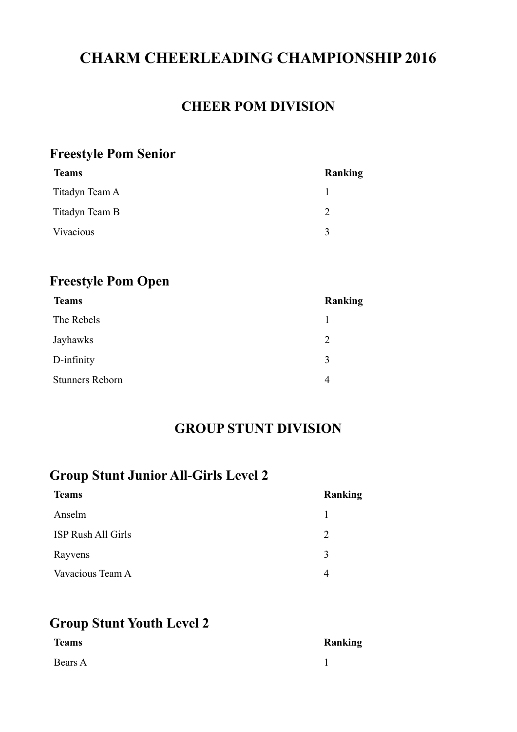# **CHARM CHEERLEADING CHAMPIONSHIP 2016**

#### **CHEER POM DIVISION**

### **Freestyle Pom Senior**

| <b>Teams</b>   | Ranking       |
|----------------|---------------|
| Titadyn Team A |               |
| Titadyn Team B | $\mathcal{D}$ |
| Vivacious      | $\mathbf{R}$  |
|                |               |

### **Freestyle Pom Open**

| <b>Teams</b>           | <b>Ranking</b> |
|------------------------|----------------|
| The Rebels             |                |
| Jayhawks               | $\overline{2}$ |
| D-infinity             | 3              |
| <b>Stunners Reborn</b> | 4              |

### **GROUP STUNT DIVISION**

## **Group Stunt Junior All-Girls Level 2**

| <b>Teams</b>       | <b>Ranking</b> |
|--------------------|----------------|
| Anselm             |                |
| ISP Rush All Girls | $\mathcal{L}$  |
| Rayvens            | 3              |
| Vavacious Team A   | 4              |

### **Group Stunt Youth Level 2**

| <b>Teams</b> | Ranking |
|--------------|---------|
| Bears A      |         |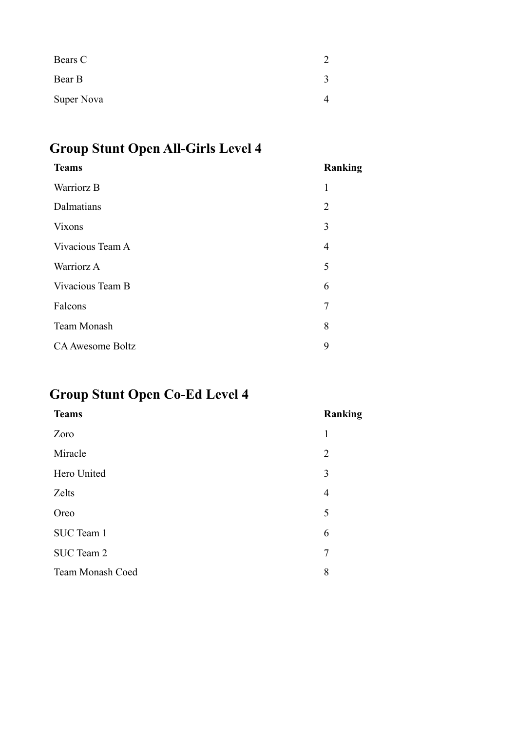| Bears C    |  |
|------------|--|
| Bear B     |  |
| Super Nova |  |

# **Group Stunt Open All-Girls Level 4**

| <b>Teams</b>            | Ranking        |
|-------------------------|----------------|
| Warriorz B              | 1              |
| Dalmatians              | $\overline{2}$ |
| <b>Vixons</b>           | 3              |
| Vivacious Team A        | $\overline{4}$ |
| Warriorz A              | 5              |
| Vivacious Team B        | 6              |
| Falcons                 | 7              |
| Team Monash             | 8              |
| <b>CA Awesome Boltz</b> | 9              |
|                         |                |

# **Group Stunt Open Co-Ed Level 4**

| <b>Teams</b>     | Ranking        |
|------------------|----------------|
| Zoro             | 1              |
| Miracle          | $\overline{2}$ |
| Hero United      | 3              |
| Zelts            | $\overline{4}$ |
| Oreo             | 5              |
| SUC Team 1       | 6              |
| SUC Team 2       | $\overline{7}$ |
| Team Monash Coed | 8              |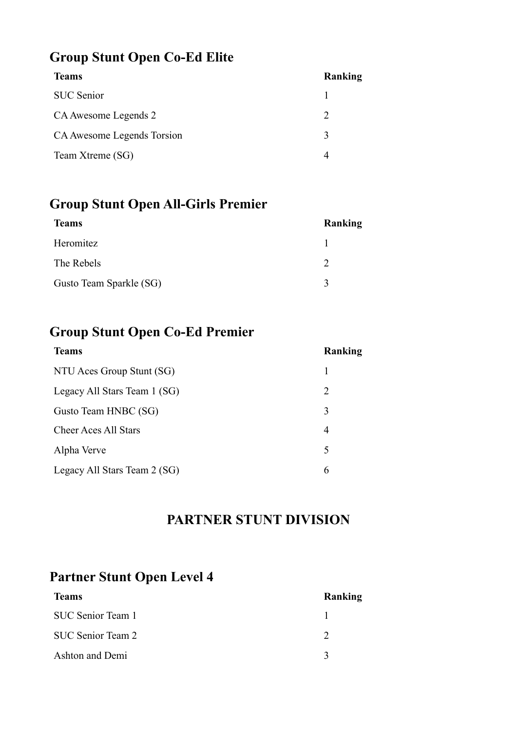## **Group Stunt Open Co-Ed Elite**

| <b>Teams</b>               | Ranking                     |
|----------------------------|-----------------------------|
| <b>SUC</b> Senior          |                             |
| CA Awesome Legends 2       | $\mathcal{D}_{\mathcal{A}}$ |
| CA Awesome Legends Torsion | $\mathbf 3$                 |
| Team Xtreme (SG)           |                             |

## **Group Stunt Open All-Girls Premier**

| <b>Teams</b>            | Ranking      |
|-------------------------|--------------|
| Heromitez               |              |
| The Rebels              |              |
| Gusto Team Sparkle (SG) | $\mathbf{c}$ |

## **Group Stunt Open Co-Ed Premier**

| <b>Teams</b>                 | Ranking |
|------------------------------|---------|
| NTU Aces Group Stunt (SG)    |         |
| Legacy All Stars Team 1 (SG) | 2       |
| Gusto Team HNBC (SG)         | 3       |
| <b>Cheer Aces All Stars</b>  | 4       |
| Alpha Verve                  | 5       |
| Legacy All Stars Team 2 (SG) | 6       |

### **PARTNER STUNT DIVISION**

## **Partner Stunt Open Level 4**

| <b>Teams</b>      | Ranking |
|-------------------|---------|
| SUC Senior Team 1 |         |
| SUC Senior Team 2 |         |
| Ashton and Demi   |         |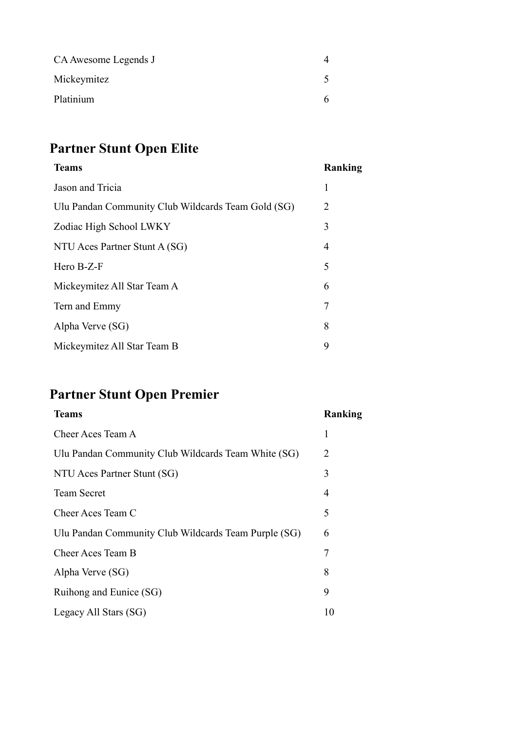| CA Awesome Legends J |  |
|----------------------|--|
| Mickeymitez          |  |
| Platinium            |  |

# **Partner Stunt Open Elite**

| <b>Teams</b>                                       | Ranking |
|----------------------------------------------------|---------|
| Jason and Tricia                                   | 1       |
| Ulu Pandan Community Club Wildcards Team Gold (SG) | 2       |
| Zodiac High School LWKY                            | 3       |
| NTU Aces Partner Stunt A (SG)                      | 4       |
| Hero B-Z-F                                         | 5       |
| Mickeymitez All Star Team A                        | 6       |
| Tern and Emmy                                      | 7       |
| Alpha Verve (SG)                                   | 8       |
| Mickeymitez All Star Team B                        | 9       |
|                                                    |         |

# **Partner Stunt Open Premier**

| <b>Teams</b>                                         | Ranking |
|------------------------------------------------------|---------|
| Cheer Aces Team A                                    | 1       |
| Ulu Pandan Community Club Wildcards Team White (SG)  | 2       |
| NTU Aces Partner Stunt (SG)                          | 3       |
| <b>Team Secret</b>                                   | 4       |
| Cheer Aces Team C                                    | 5       |
| Ulu Pandan Community Club Wildcards Team Purple (SG) | 6       |
| Cheer Aces Team B                                    | 7       |
| Alpha Verve (SG)                                     | 8       |
| Ruihong and Eunice (SG)                              | 9       |
| Legacy All Stars (SG)                                | 10      |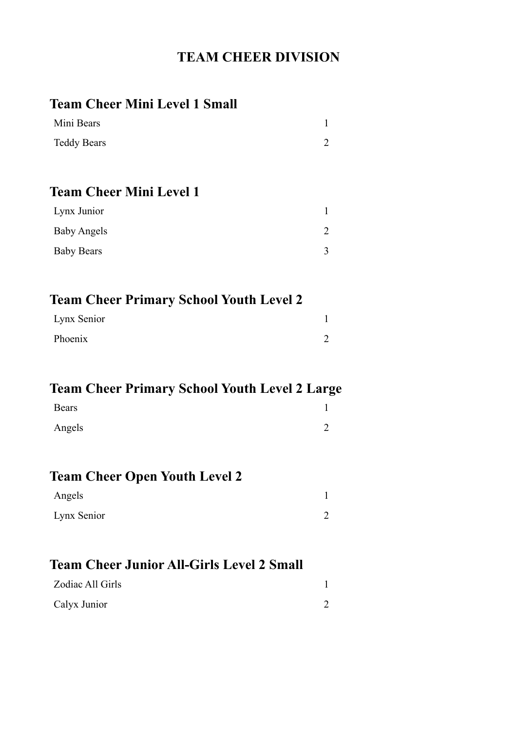# **TEAM CHEER DIVISION**

| <b>Team Cheer Mini Level 1 Small</b>                 |                |
|------------------------------------------------------|----------------|
| Mini Bears                                           | $\mathbf{1}$   |
| <b>Teddy Bears</b>                                   | $\overline{2}$ |
| <b>Team Cheer Mini Level 1</b>                       |                |
| Lynx Junior                                          | $\mathbf{1}$   |
| <b>Baby Angels</b>                                   | 2              |
| <b>Baby Bears</b>                                    | 3              |
| <b>Team Cheer Primary School Youth Level 2</b>       |                |
| Lynx Senior                                          | 1              |
| Phoenix                                              | $\overline{2}$ |
| <b>Team Cheer Primary School Youth Level 2 Large</b> |                |
| Bears                                                | 1              |
| Angels                                               | $\overline{2}$ |
|                                                      |                |
| <b>Team Cheer Open Youth Level 2</b>                 |                |
| Angels                                               | 1              |
| Lynx Senior                                          | $\overline{2}$ |
| <b>Team Cheer Junior All-Girls Level 2 Small</b>     |                |
| Zodiac All Girls                                     | 1              |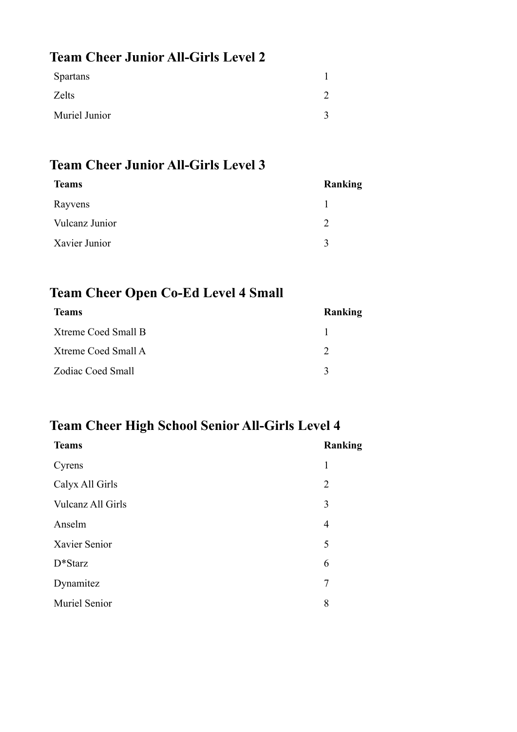## **Team Cheer Junior All-Girls Level 2**

| <b>Spartans</b> |  |
|-----------------|--|
| Zelts           |  |
| Muriel Junior   |  |

# **Team Cheer Junior All-Girls Level 3**

| <b>Teams</b>   | Ranking     |
|----------------|-------------|
| Rayvens        |             |
| Vulcanz Junior | C           |
| Xavier Junior  | $\mathbf 3$ |

## **Team Cheer Open Co-Ed Level 4 Small**

| <b>Teams</b>        | Ranking      |
|---------------------|--------------|
| Xtreme Coed Small B |              |
| Xtreme Coed Small A |              |
| Zodiac Coed Small   | $\mathbf{c}$ |

## **Team Cheer High School Senior All-Girls Level 4**

| Ranking        |
|----------------|
| 1              |
| $\overline{2}$ |
| 3              |
| $\overline{4}$ |
| 5              |
| 6              |
| 7              |
| 8              |
|                |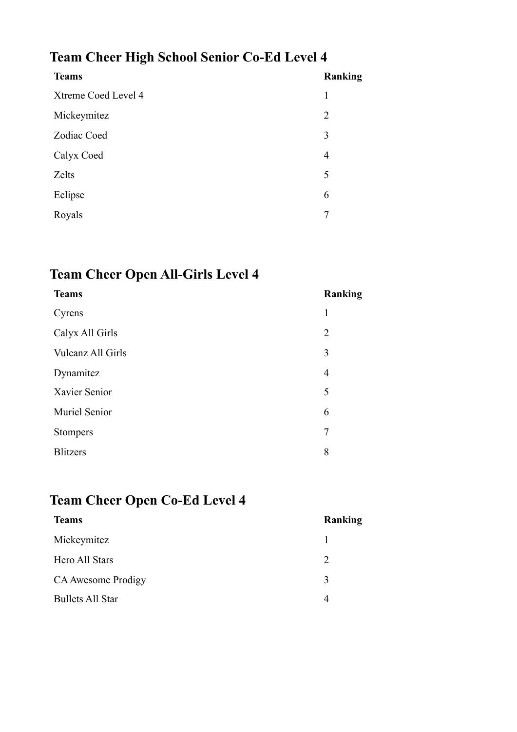# **Team Cheer High School Senior Co-Ed Level 4**

| <b>Teams</b>        | Ranking        |
|---------------------|----------------|
| Xtreme Coed Level 4 | 1              |
| Mickeymitez         | 2              |
| Zodiac Coed         | 3              |
| Calyx Coed          | $\overline{4}$ |
| Zelts               | 5              |
| Eclipse             | 6              |
| Royals              | 7              |
|                     |                |

# **Team Cheer Open All-Girls Level 4**

| <b>Teams</b>      | Ranking        |
|-------------------|----------------|
| Cyrens            | 1              |
| Calyx All Girls   | $\overline{2}$ |
| Vulcanz All Girls | 3              |
| Dynamitez         | $\overline{4}$ |
| Xavier Senior     | 5              |
| Muriel Senior     | 6              |
| <b>Stompers</b>   | 7              |
| <b>Blitzers</b>   | 8              |

# **Team Cheer Open Co-Ed Level 4**

| <b>Teams</b>                 | Ranking |
|------------------------------|---------|
| Mickeymitez                  |         |
| Hero All Stars<br>2          |         |
| CA Awesome Prodigy<br>3      |         |
| <b>Bullets All Star</b><br>4 |         |